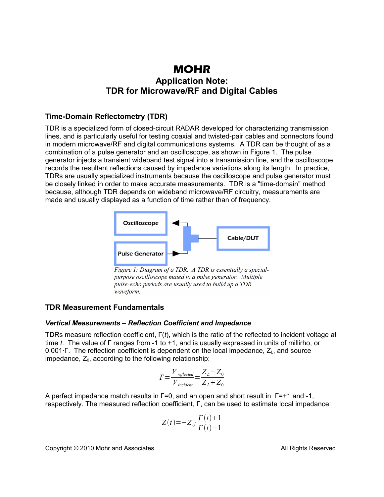# **MOHR Application Note: TDR for Microwave/RF and Digital Cables**

## **Time-Domain Reflectometry (TDR)**

TDR is a specialized form of closed-circuit RADAR developed for characterizing transmission lines, and is particularly useful for testing coaxial and twisted-pair cables and connectors found in modern microwave/RF and digital communications systems. A TDR can be thought of as a combination of a pulse generator and an oscilloscope, as shown in Figure 1. The pulse generator injects a transient wideband test signal into a transmission line, and the oscilloscope records the resultant reflections caused by impedance variations along its length. In practice, TDRs are usually specialized instruments because the oscilloscope and pulse generator must be closely linked in order to make accurate measurements. TDR is a "time-domain" method because, although TDR depends on wideband microwave/RF circuitry, measurements are made and usually displayed as a function of time rather than of frequency.



Figure 1: Diagram of a TDR. A TDR is essentially a specialpurpose oscilloscope mated to a pulse generator. Multiple pulse-echo periods are usually used to build up a TDR waveform.

## **TDR Measurement Fundamentals**

#### *Vertical Measurements – Reflection Coefficient and Impedance*

TDRs measure reflection coefficient, Γ(*t*), which is the ratio of the reflected to incident voltage at time *t*. The value of Γ ranges from -1 to +1, and is usually expressed in units of millirho, or 0.001⋅Γ. The reflection coefficient is dependent on the local impedance, Z<sub>L</sub>, and source impedance,  $Z_0$ , according to the following relationship:

$$
\Gamma = \frac{V_{reflected}}{V_{incident}} = \frac{Z_L - Z_0}{Z_L + Z_0}
$$

A perfect impedance match results in Γ=0, and an open and short result in Γ=+1 and -1, respectively. The measured reflection coefficient, Γ, can be used to estimate local impedance:

$$
Z(t) = -Z_0 \cdot \frac{\Gamma(t) + 1}{\Gamma(t) - 1}
$$

Copyright © 2010 Mohr and Associates **All Rights Reserved** All Rights Reserved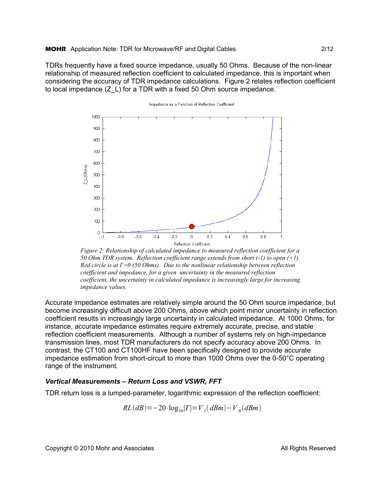TDRs frequently have a fixed source impedance, usually 50 Ohms. Because of the non-linear relationship of measured reflection coefficient to calculated impedance, this is important when considering the accuracy of TDR impedance calculations. Figure 2 relates reflection coefficient to local impedance (Z\_L) for a TDR with a fixed 50 Ohm source impedance.



Impedance as a Function of Reflection Coefficient

*Figure 2: Relationship of calculated impedance to measured reflection coefficient for a 50 Ohm TDR system. Reflection coefficient range extends from short (-1) to open (+1). Red circle is at Γ=0 (50 Ohms). Due to the nonlinear relationship between reflection coefficient and impedance, for a given uncertainty in the measured reflection coefficient, the uncertainty in calculated impedance is increasingly large for increasing impedance values.*

Accurate impedance estimates are relatively simple around the 50 Ohm source impedance, but become increasingly difficult above 200 Ohms, above which point minor uncertainty in reflection coefficient results in increasingly large uncertainty in calculated impedance. At 1000 Ohms, for instance, accurate impedance estimates require extremely accurate, precise, and stable reflection coefficient measurements. Although a number of systems rely on high-impedance transmission lines, most TDR manufacturers do not specify accuracy above 200 Ohms. In contrast, the CT100 and CT100HF have been specifically designed to provide accurate impedance estimation from short-circuit to more than 1000 Ohms over the 0-50°C operating range of the instrument.

#### *Vertical Measurements – Return Loss and VSWR, FFT*

TDR return loss is a lumped-parameter, logarithmic expression of the reflection coefficient:

$$
RL(dB) = -20 \cdot \log_{10} |\Gamma| = V_I (dBm) - V_R (dBm)
$$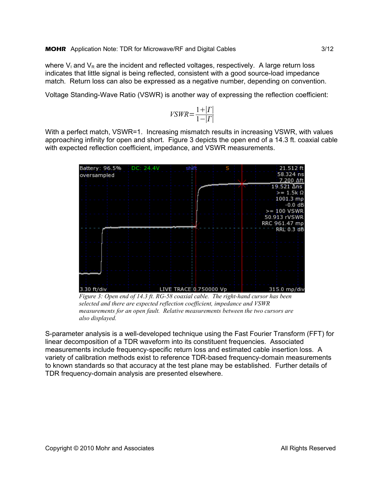where  $V_1$  and  $V_R$  are the incident and reflected voltages, respectively. A large return loss indicates that little signal is being reflected, consistent with a good source-load impedance match. Return loss can also be expressed as a negative number, depending on convention.

Voltage Standing-Wave Ratio (VSWR) is another way of expressing the reflection coefficient:

$$
VSWR = \frac{1 + |\Gamma|}{1 - |\Gamma|}
$$

With a perfect match, VSWR=1. Increasing mismatch results in increasing VSWR, with values approaching infinity for open and short. Figure 3 depicts the open end of a 14.3 ft. coaxial cable with expected reflection coefficient, impedance, and VSWR measurements.



*Figure 3: Open end of 14.3 ft. RG-58 coaxial cable. The right-hand cursor has been selected and there are expected reflection coefficient, impedance and VSWR measurements for an open fault. Relative measurements between the two cursors are also displayed.*

S-parameter analysis is a well-developed technique using the Fast Fourier Transform (FFT) for linear decomposition of a TDR waveform into its constituent frequencies. Associated measurements include frequency-specific return loss and estimated cable insertion loss. A variety of calibration methods exist to reference TDR-based frequency-domain measurements to known standards so that accuracy at the test plane may be established. Further details of TDR frequency-domain analysis are presented elsewhere.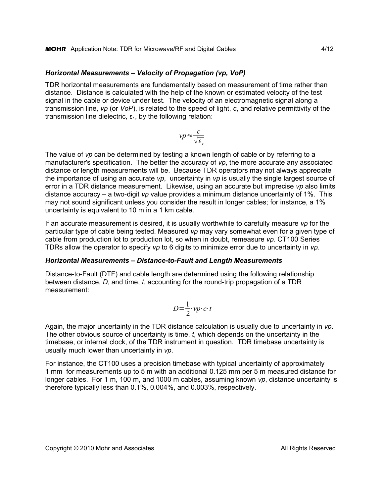#### *Horizontal Measurements – Velocity of Propagation (vp, VoP)*

TDR horizontal measurements are fundamentally based on measurement of time rather than distance. Distance is calculated with the help of the known or estimated velocity of the test signal in the cable or device under test. The velocity of an electromagnetic signal along a transmission line, *vp* (or *VoP*), is related to the speed of light, *c*, and relative permittivity of the transmission line dielectric,  $ε<sub>r</sub>$ , by the following relation:

$$
vp \approx \frac{c}{\sqrt{\varepsilon_r}}
$$

The value of *vp* can be determined by testing a known length of cable or by referring to a manufacturer's specification. The better the accuracy of *vp*, the more accurate any associated distance or length measurements will be. Because TDR operators may not always appreciate the importance of using an accurate *vp*, uncertainty in *vp* is usually the single largest source of error in a TDR distance measurement. Likewise, using an accurate but imprecise *vp* also limits distance accuracy – a two-digit *vp* value provides a minimum distance uncertainty of 1%. This may not sound significant unless you consider the result in longer cables; for instance, a 1% uncertainty is equivalent to 10 m in a 1 km cable.

If an accurate measurement is desired, it is usually worthwhile to carefully measure *vp* for the particular type of cable being tested. Measured *vp* may vary somewhat even for a given type of cable from production lot to production lot, so when in doubt, remeasure *vp*. CT100 Series TDRs allow the operator to specify *vp* to 6 digits to minimize error due to uncertainty in *vp*.

#### *Horizontal Measurements – Distance-to-Fault and Length Measurements*

Distance-to-Fault (DTF) and cable length are determined using the following relationship between distance, *D*, and time, *t*, accounting for the round-trip propagation of a TDR measurement:

$$
D = \frac{1}{2} \cdot vp \cdot c \cdot t
$$

Again, the major uncertainty in the TDR distance calculation is usually due to uncertainty in *vp*. The other obvious source of uncertainty is time, *t*, which depends on the uncertainty in the timebase, or internal clock, of the TDR instrument in question. TDR timebase uncertainty is usually much lower than uncertainty in *vp*.

For instance, the CT100 uses a precision timebase with typical uncertainty of approximately 1 mm for measurements up to 5 m with an additional 0.125 mm per 5 m measured distance for longer cables. For 1 m, 100 m, and 1000 m cables, assuming known *vp*, distance uncertainty is therefore typically less than 0.1%, 0.004%, and 0.003%, respectively.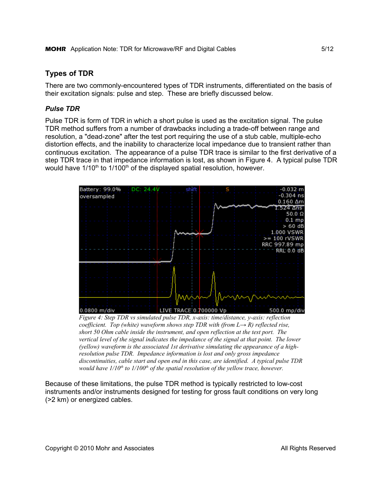# **Types of TDR**

There are two commonly-encountered types of TDR instruments, differentiated on the basis of their excitation signals: pulse and step. These are briefly discussed below.

## *Pulse TDR*

Pulse TDR is form of TDR in which a short pulse is used as the excitation signal. The pulse TDR method suffers from a number of drawbacks including a trade-off between range and resolution, a "dead-zone" after the test port requiring the use of a stub cable, multiple-echo distortion effects, and the inability to characterize local impedance due to transient rather than continuous excitation. The appearance of a pulse TDR trace is similar to the first derivative of a step TDR trace in that impedance information is lost, as shown in Figure 4. A typical pulse TDR would have  $1/10<sup>th</sup>$  to  $1/100<sup>th</sup>$  of the displayed spatial resolution, however.



*Figure 4: Step TDR vs simulated pulse TDR, x-axis: time/distance, y-axis: reflection coefficient. Top (white) waveform shows step TDR with (from L→ R) reflected rise, short 50 Ohm cable inside the instrument, and open reflection at the test port. The vertical level of the signal indicates the impedance of the signal at that point. The lower (yellow) waveform is the associated 1st derivative simulating the appearance of a highresolution pulse TDR. Impedance information is lost and only gross impedance discontinuities, cable start and open end in this case, are identified. A typical pulse TDR would have 1/10th to 1/100th of the spatial resolution of the yellow trace, however.*

Because of these limitations, the pulse TDR method is typically restricted to low-cost instruments and/or instruments designed for testing for gross fault conditions on very long (>2 km) or energized cables.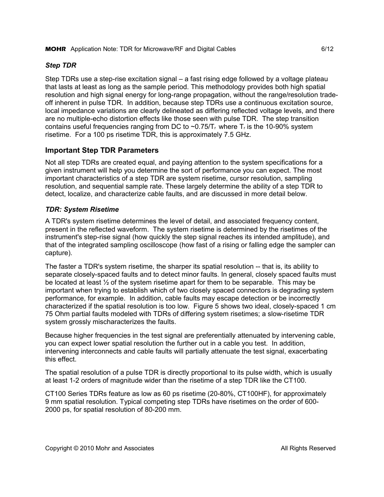## *Step TDR*

Step TDRs use a step-rise excitation signal – a fast rising edge followed by a voltage plateau that lasts at least as long as the sample period. This methodology provides both high spatial resolution and high signal energy for long-range propagation, without the range/resolution tradeoff inherent in pulse TDR. In addition, because step TDRs use a continuous excitation source, local impedance variations are clearly delineated as differing reflected voltage levels, and there are no multiple-echo distortion effects like those seen with pulse TDR. The step transition contains useful frequencies ranging from DC to  $\sim$  0.75/T<sub>r</sub> where T<sub>r</sub> is the 10-90% system risetime. For a 100 ps risetime TDR, this is approximately 7.5 GHz.

# **Important Step TDR Parameters**

Not all step TDRs are created equal, and paying attention to the system specifications for a given instrument will help you determine the sort of performance you can expect. The most important characteristics of a step TDR are system risetime, cursor resolution, sampling resolution, and sequential sample rate. These largely determine the ability of a step TDR to detect, localize, and characterize cable faults, and are discussed in more detail below.

# *TDR: System Risetime*

A TDR's system risetime determines the level of detail, and associated frequency content, present in the reflected waveform. The system risetime is determined by the risetimes of the instrument's step-rise signal (how quickly the step signal reaches its intended amplitude), and that of the integrated sampling oscilloscope (how fast of a rising or falling edge the sampler can capture).

The faster a TDR's system risetime, the sharper its spatial resolution -- that is, its ability to separate closely-spaced faults and to detect minor faults. In general, closely spaced faults must be located at least  $\frac{1}{2}$  of the system risetime apart for them to be separable. This may be important when trying to establish which of two closely spaced connectors is degrading system performance, for example. In addition, cable faults may escape detection or be incorrectly characterized if the spatial resolution is too low. Figure 5 shows two ideal, closely-spaced 1 cm 75 Ohm partial faults modeled with TDRs of differing system risetimes; a slow-risetime TDR system grossly mischaracterizes the faults.

Because higher frequencies in the test signal are preferentially attenuated by intervening cable, you can expect lower spatial resolution the further out in a cable you test. In addition, intervening interconnects and cable faults will partially attenuate the test signal, exacerbating this effect.

The spatial resolution of a pulse TDR is directly proportional to its pulse width, which is usually at least 1-2 orders of magnitude wider than the risetime of a step TDR like the CT100.

CT100 Series TDRs feature as low as 60 ps risetime (20-80%, CT100HF), for approximately 9 mm spatial resolution. Typical competing step TDRs have risetimes on the order of 600- 2000 ps, for spatial resolution of 80-200 mm.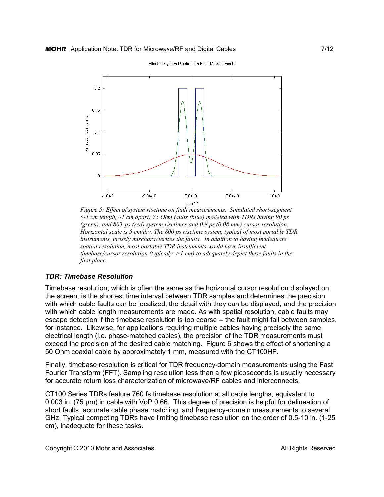Effect of System Risetime on Fault Measurements



*Figure 5: Effect of system risetime on fault measurements. Simulated short-segment (~1 cm length, ~1 cm apart) 75 Ohm faults (blue) modeled with TDRs having 90 ps (green), and 800-ps (red) system risetimes and 0.8 ps (0.08 mm) cursor resolution. Horizontal scale is 5 cm/div. The 800 ps risetime system, typical of most portable TDR instruments, grossly mischaracterizes the faults. In addition to having inadequate spatial resolution, most portable TDR instruments would have insufficient timebase/cursor resolution (typically >1 cm) to adequately depict these faults in the first place.* 

### *TDR: Timebase Resolution*

Timebase resolution, which is often the same as the horizontal cursor resolution displayed on the screen, is the shortest time interval between TDR samples and determines the precision with which cable faults can be localized, the detail with they can be displayed, and the precision with which cable length measurements are made. As with spatial resolution, cable faults may escape detection if the timebase resolution is too coarse -- the fault might fall between samples, for instance. Likewise, for applications requiring multiple cables having precisely the same electrical length (i.e. phase-matched cables), the precision of the TDR measurements must exceed the precision of the desired cable matching. Figure 6 shows the effect of shortening a 50 Ohm coaxial cable by approximately 1 mm, measured with the CT100HF.

Finally, timebase resolution is critical for TDR frequency-domain measurements using the Fast Fourier Transform (FFT). Sampling resolution less than a few picoseconds is usually necessary for accurate return loss characterization of microwave/RF cables and interconnects.

CT100 Series TDRs feature 760 fs timebase resolution at all cable lengths, equivalent to 0.003 in. (75 μm) in cable with VoP 0.66. This degree of precision is helpful for delineation of short faults, accurate cable phase matching, and frequency-domain measurements to several GHz. Typical competing TDRs have limiting timebase resolution on the order of 0.5-10 in. (1-25 cm), inadequate for these tasks.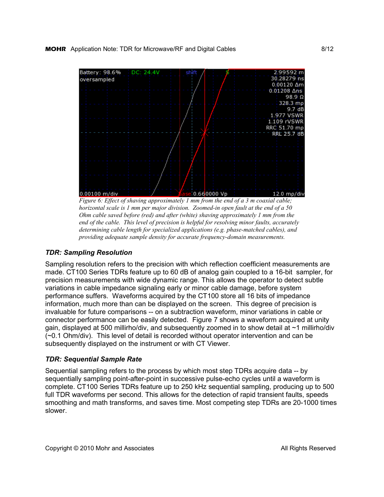

*Figure 6: Effect of shaving approximately 1 mm from the end of a 3 m coaxial cable; horizontal scale is 1 mm per major division. Zoomed-in open fault at the end of a 50 Ohm cable saved before (red) and after (white) shaving approximately 1 mm from the end of the cable. This level of precision is helpful for resolving minor faults, accurately determining cable length for specialized applications (e.g. phase-matched cables), and providing adequate sample density for accurate frequency-domain measurements.*

### *TDR: Sampling Resolution*

Sampling resolution refers to the precision with which reflection coefficient measurements are made. CT100 Series TDRs feature up to 60 dB of analog gain coupled to a 16-bit sampler, for precision measurements with wide dynamic range. This allows the operator to detect subtle variations in cable impedance signaling early or minor cable damage, before system performance suffers. Waveforms acquired by the CT100 store all 16 bits of impedance information, much more than can be displayed on the screen. This degree of precision is invaluable for future comparisons -- on a subtraction waveform, minor variations in cable or connector performance can be easily detected. Figure 7 shows a waveform acquired at unity gain, displayed at 500 millirho/div, and subsequently zoomed in to show detail at ~1 millirho/div (~0.1 Ohm/div). This level of detail is recorded without operator intervention and can be subsequently displayed on the instrument or with CT Viewer.

### *TDR: Sequential Sample Rate*

Sequential sampling refers to the process by which most step TDRs acquire data -- by sequentially sampling point-after-point in successive pulse-echo cycles until a waveform is complete. CT100 Series TDRs feature up to 250 kHz sequential sampling, producing up to 500 full TDR waveforms per second. This allows for the detection of rapid transient faults, speeds smoothing and math transforms, and saves time. Most competing step TDRs are 20-1000 times slower.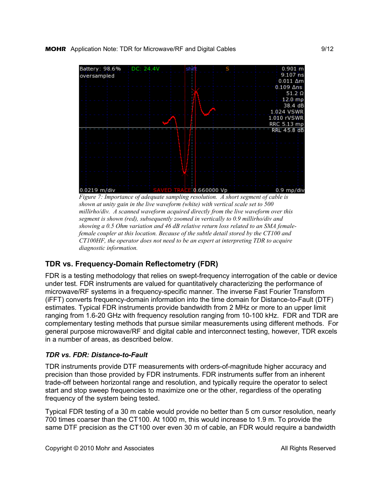

*Figure 7: Importance of adequate sampling resolution. A short segment of cable is shown at unity gain in the live waveform (white) with vertical scale set to 500 millirho/div. A scanned waveform acquired directly from the live waveform over this segment is shown (red), subsequently zoomed in vertically to 0.9 millirho/div and showing a 0.5 Ohm variation and 46 dB relative return loss related to an SMA femalefemale coupler at this location. Because of the subtle detail stored by the CT100 and CT100HF, the operator does not need to be an expert at interpreting TDR to acquire diagnostic information.* 

# **TDR vs. Frequency-Domain Reflectometry (FDR)**

FDR is a testing methodology that relies on swept-frequency interrogation of the cable or device under test. FDR instruments are valued for quantitatively characterizing the performance of microwave/RF systems in a frequency-specific manner. The inverse Fast Fourier Transform (iFFT) converts frequency-domain information into the time domain for Distance-to-Fault (DTF) estimates. Typical FDR instruments provide bandwidth from 2 MHz or more to an upper limit ranging from 1.6-20 GHz with frequency resolution ranging from 10-100 kHz. FDR and TDR are complementary testing methods that pursue similar measurements using different methods. For general purpose microwave/RF and digital cable and interconnect testing, however, TDR excels in a number of areas, as described below.

## *TDR vs. FDR: Distance-to-Fault*

TDR instruments provide DTF measurements with orders-of-magnitude higher accuracy and precision than those provided by FDR instruments. FDR instruments suffer from an inherent trade-off between horizontal range and resolution, and typically require the operator to select start and stop sweep frequencies to maximize one or the other, regardless of the operating frequency of the system being tested.

Typical FDR testing of a 30 m cable would provide no better than 5 cm cursor resolution, nearly 700 times coarser than the CT100. At 1000 m, this would increase to 1.9 m. To provide the same DTF precision as the CT100 over even 30 m of cable, an FDR would require a bandwidth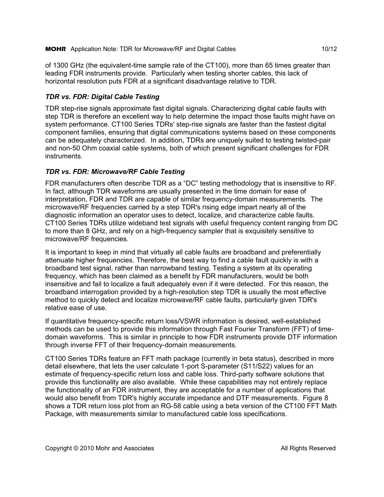#### **MOHR** Application Note: TDR for Microwave/RF and Digital Cables 10/12

of 1300 GHz (the equivalent-time sample rate of the CT100), more than 65 times greater than leading FDR instruments provide. Particularly when testing shorter cables, this lack of horizontal resolution puts FDR at a significant disadvantage relative to TDR.

## *TDR vs. FDR: Digital Cable Testing*

TDR step-rise signals approximate fast digital signals. Characterizing digital cable faults with step TDR is therefore an excellent way to help determine the impact those faults might have on system performance. CT100 Series TDRs' step-rise signals are faster than the fastest digital component families, ensuring that digital communications systems based on these components can be adequately characterized. In addition, TDRs are uniquely suited to testing twisted-pair and non-50 Ohm coaxial cable systems, both of which present significant challenges for FDR instruments.

### *TDR vs. FDR: Microwave/RF Cable Testing*

FDR manufacturers often describe TDR as a "DC" testing methodology that is insensitive to RF. In fact, although TDR waveforms are usually presented in the time domain for ease of interpretation, FDR and TDR are capable of similar frequency-domain measurements. The microwave/RF frequencies carried by a step TDR's rising edge impart nearly all of the diagnostic information an operator uses to detect, localize, and characterize cable faults. CT100 Series TDRs utilize wideband test signals with useful frequency content ranging from DC to more than 8 GHz, and rely on a high-frequency sampler that is exquisitely sensitive to microwave/RF frequencies.

It is important to keep in mind that virtually all cable faults are broadband and preferentially attenuate higher frequencies. Therefore, the best way to find a cable fault quickly is with a broadband test signal, rather than narrowband testing. Testing a system at its operating frequency, which has been claimed as a benefit by FDR manufacturers, would be both insensitive and fail to localize a fault adequately even if it were detected. For this reason, the broadband interrogation provided by a high-resolution step TDR is usually the most effective method to quickly detect and localize microwave/RF cable faults, particularly given TDR's relative ease of use.

If quantitative frequency-specific return loss/VSWR information is desired, well-established methods can be used to provide this information through Fast Fourier Transform (FFT) of timedomain waveforms. This is similar in principle to how FDR instruments provide DTF information through inverse FFT of their frequency-domain measurements.

CT100 Series TDRs feature an FFT math package (currently in beta status), described in more detail elsewhere, that lets the user calculate 1-port S-parameter (S11/S22) values for an estimate of frequency-specific return loss and cable loss. Third-party software solutions that provide this functionality are also available. While these capabilities may not entirely replace the functionality of an FDR instrument, they are acceptable for a number of applications that would also benefit from TDR's highly accurate impedance and DTF measurements. Figure 8 shows a TDR return loss plot from an RG-58 cable using a beta version of the CT100 FFT Math Package, with measurements similar to manufactured cable loss specifications.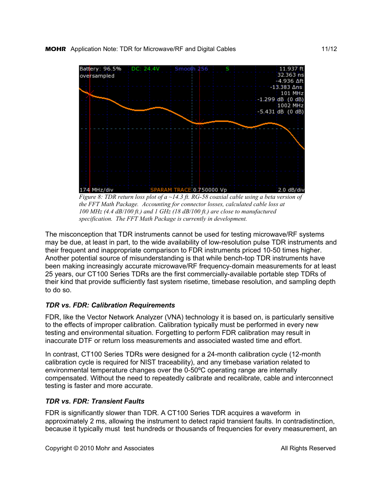

*Figure 8: TDR return loss plot of a ~14.3 ft. RG-58 coaxial cable using a beta version of the FFT Math Package. Accounting for connector losses, calculated cable loss at 100 MHz (4.4 dB/100 ft.) and 1 GHz (18 dB/100 ft.) are close to manufactured specification. The FFT Math Package is currently in development.*

The misconception that TDR instruments cannot be used for testing microwave/RF systems may be due, at least in part, to the wide availability of low-resolution pulse TDR instruments and their frequent and inappropriate comparison to FDR instruments priced 10-50 times higher. Another potential source of misunderstanding is that while bench-top TDR instruments have been making increasingly accurate microwave/RF frequency-domain measurements for at least 25 years, our CT100 Series TDRs are the first commercially-available portable step TDRs of their kind that provide sufficiently fast system risetime, timebase resolution, and sampling depth to do so.

## *TDR vs. FDR: Calibration Requirements*

FDR, like the Vector Network Analyzer (VNA) technology it is based on, is particularly sensitive to the effects of improper calibration. Calibration typically must be performed in every new testing and environmental situation. Forgetting to perform FDR calibration may result in inaccurate DTF or return loss measurements and associated wasted time and effort.

In contrast, CT100 Series TDRs were designed for a 24-month calibration cycle (12-month calibration cycle is required for NIST traceability), and any timebase variation related to environmental temperature changes over the 0-50ºC operating range are internally compensated. Without the need to repeatedly calibrate and recalibrate, cable and interconnect testing is faster and more accurate.

### *TDR vs. FDR: Transient Faults*

FDR is significantly slower than TDR. A CT100 Series TDR acquires a waveform in approximately 2 ms, allowing the instrument to detect rapid transient faults. In contradistinction, because it typically must test hundreds or thousands of frequencies for every measurement, an